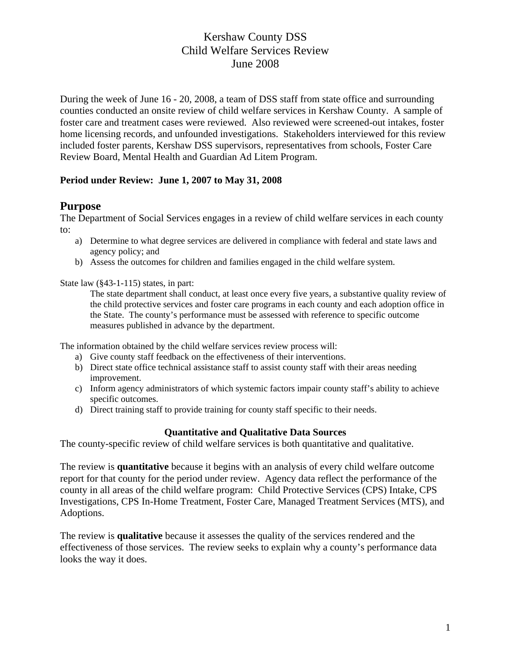During the week of June 16 - 20, 2008, a team of DSS staff from state office and surrounding counties conducted an onsite review of child welfare services in Kershaw County. A sample of foster care and treatment cases were reviewed. Also reviewed were screened-out intakes, foster home licensing records, and unfounded investigations. Stakeholders interviewed for this review included foster parents, Kershaw DSS supervisors, representatives from schools, Foster Care Review Board, Mental Health and Guardian Ad Litem Program.

### **Period under Review: June 1, 2007 to May 31, 2008**

## **Purpose**

The Department of Social Services engages in a review of child welfare services in each county to:

- a) Determine to what degree services are delivered in compliance with federal and state laws and agency policy; and
- b) Assess the outcomes for children and families engaged in the child welfare system.

State law (§43-1-115) states, in part:

The state department shall conduct, at least once every five years, a substantive quality review of the child protective services and foster care programs in each county and each adoption office in the State. The county's performance must be assessed with reference to specific outcome measures published in advance by the department.

The information obtained by the child welfare services review process will:

- a) Give county staff feedback on the effectiveness of their interventions.
- b) Direct state office technical assistance staff to assist county staff with their areas needing improvement.
- c) Inform agency administrators of which systemic factors impair county staff's ability to achieve specific outcomes.
- d) Direct training staff to provide training for county staff specific to their needs.

### **Quantitative and Qualitative Data Sources**

The county-specific review of child welfare services is both quantitative and qualitative.

The review is **quantitative** because it begins with an analysis of every child welfare outcome report for that county for the period under review. Agency data reflect the performance of the county in all areas of the child welfare program: Child Protective Services (CPS) Intake, CPS Investigations, CPS In-Home Treatment, Foster Care, Managed Treatment Services (MTS), and Adoptions.

The review is **qualitative** because it assesses the quality of the services rendered and the effectiveness of those services. The review seeks to explain why a county's performance data looks the way it does.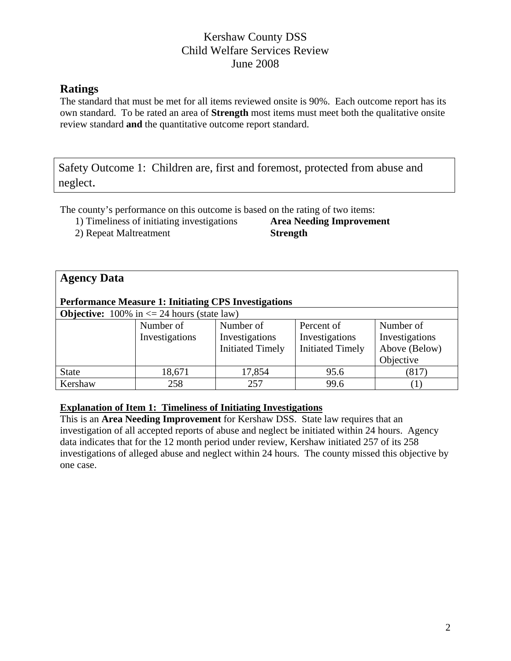# **Ratings**

The standard that must be met for all items reviewed onsite is 90%. Each outcome report has its own standard. To be rated an area of **Strength** most items must meet both the qualitative onsite review standard **and** the quantitative outcome report standard.

Safety Outcome 1: Children are, first and foremost, protected from abuse and neglect.

The county's performance on this outcome is based on the rating of two items:

1) Timeliness of initiating investigations **Area Needing Improvement** 

2) Repeat Maltreatment **Strength** 

# **Agency Data**

#### **Performance Measure 1: Initiating CPS Investigations**

**Objective:**  $100\%$  in  $\leq 24$  hours (state law)

| <b>ODJULIVE.</b> 10070 III $\leq$ 27 hours (state law) |                |                         |                         |                |  |  |  |  |
|--------------------------------------------------------|----------------|-------------------------|-------------------------|----------------|--|--|--|--|
|                                                        | Number of      | Number of               | Percent of              | Number of      |  |  |  |  |
|                                                        | Investigations | Investigations          | Investigations          | Investigations |  |  |  |  |
|                                                        |                | <b>Initiated Timely</b> | <b>Initiated Timely</b> | Above (Below)  |  |  |  |  |
|                                                        |                |                         |                         | Objective      |  |  |  |  |
| <b>State</b>                                           | 18,671         | 17,854                  | 95.6                    | (817)          |  |  |  |  |
| Kershaw                                                | 258            | 257                     | 99.6                    |                |  |  |  |  |

### **Explanation of Item 1: Timeliness of Initiating Investigations**

This is an **Area Needing Improvement** for Kershaw DSS. State law requires that an investigation of all accepted reports of abuse and neglect be initiated within 24 hours. Agency data indicates that for the 12 month period under review, Kershaw initiated 257 of its 258 investigations of alleged abuse and neglect within 24 hours. The county missed this objective by one case.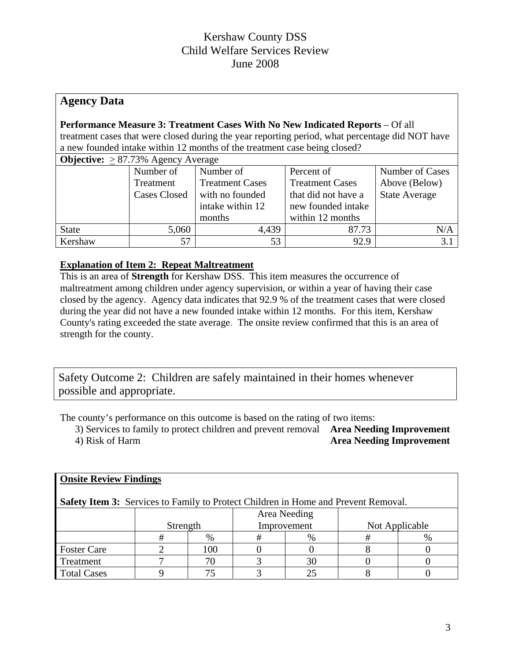## **Agency Data**

#### **Performance Measure 3: Treatment Cases With No New Indicated Reports** – Of all treatment cases that were closed during the year reporting period, what percentage did NOT have a new founded intake within 12 months of the treatment case being closed?

| <b>Objective:</b> $\geq$ 87.73% Agency Average |                     |                        |                        |                      |  |  |  |  |
|------------------------------------------------|---------------------|------------------------|------------------------|----------------------|--|--|--|--|
|                                                | Number of           | Number of              | Percent of             | Number of Cases      |  |  |  |  |
|                                                | Treatment           | <b>Treatment Cases</b> | <b>Treatment Cases</b> | Above (Below)        |  |  |  |  |
|                                                | <b>Cases Closed</b> | with no founded        | that did not have a    | <b>State Average</b> |  |  |  |  |
|                                                |                     | intake within 12       | new founded intake     |                      |  |  |  |  |
|                                                |                     | months                 | within 12 months       |                      |  |  |  |  |
| <b>State</b>                                   | 5,060               | 4,439                  | 87.73                  | N/A                  |  |  |  |  |
| Kershaw                                        | 57                  | 53                     | 92.9                   | 3.                   |  |  |  |  |

### **Explanation of Item 2: Repeat Maltreatment**

This is an area of **Strength** for Kershaw DSS. This item measures the occurrence of maltreatment among children under agency supervision, or within a year of having their case closed by the agency. Agency data indicates that 92.9 % of the treatment cases that were closed during the year did not have a new founded intake within 12 months. For this item, Kershaw County's rating exceeded the state average. The onsite review confirmed that this is an area of strength for the county.

Safety Outcome 2: Children are safely maintained in their homes whenever possible and appropriate.

The county's performance on this outcome is based on the rating of two items:

3) Services to family to protect children and prevent removal **Area Needing Improvement**  4) Risk of Harm **Area Needing Improvement** 

| <b>Onsite Review Findings</b>                                                             |              |      |             |      |                |  |  |  |
|-------------------------------------------------------------------------------------------|--------------|------|-------------|------|----------------|--|--|--|
| <b>Safety Item 3:</b> Services to Family to Protect Children in Home and Prevent Removal. |              |      |             |      |                |  |  |  |
|                                                                                           | Area Needing |      |             |      |                |  |  |  |
|                                                                                           | Strength     |      | Improvement |      | Not Applicable |  |  |  |
|                                                                                           | #            | $\%$ | #           | $\%$ | #              |  |  |  |
| <b>Foster Care</b>                                                                        |              | 100  |             |      |                |  |  |  |
| Treatment                                                                                 |              | 70   |             | 30   |                |  |  |  |
| <b>Total Cases</b>                                                                        |              | 75   |             |      |                |  |  |  |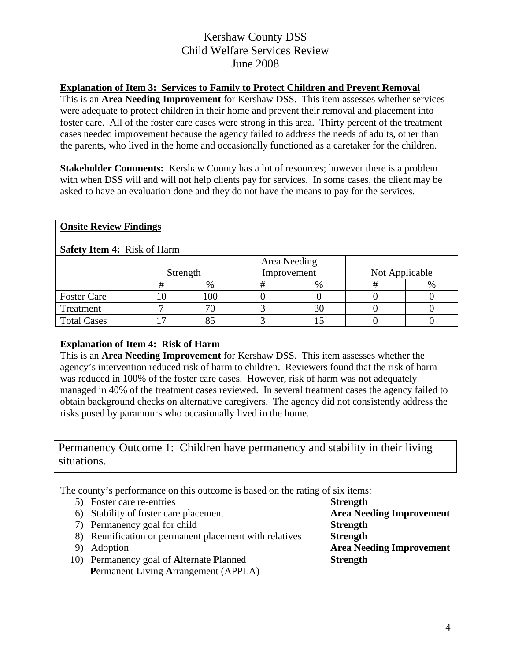### **Explanation of Item 3: Services to Family to Protect Children and Prevent Removal**

This is an **Area Needing Improvement** for Kershaw DSS. This item assesses whether services were adequate to protect children in their home and prevent their removal and placement into foster care. All of the foster care cases were strong in this area. Thirty percent of the treatment cases needed improvement because the agency failed to address the needs of adults, other than the parents, who lived in the home and occasionally functioned as a caretaker for the children.

**Stakeholder Comments:** Kershaw County has a lot of resources; however there is a problem with when DSS will and will not help clients pay for services. In some cases, the client may be asked to have an evaluation done and they do not have the means to pay for the services.

| <b>Onsite Review Findings</b>      |          |      |              |      |                |      |  |  |
|------------------------------------|----------|------|--------------|------|----------------|------|--|--|
| <b>Safety Item 4: Risk of Harm</b> |          |      |              |      |                |      |  |  |
|                                    |          |      | Area Needing |      |                |      |  |  |
|                                    | Strength |      | Improvement  |      | Not Applicable |      |  |  |
|                                    | #        | $\%$ | #            | $\%$ | #              | $\%$ |  |  |
| <b>Foster Care</b>                 |          | 100  |              |      |                |      |  |  |
| Treatment                          |          | 70   |              | 30   |                |      |  |  |
| <b>Total Cases</b>                 |          | 85   |              |      |                |      |  |  |

# **Explanation of Item 4: Risk of Harm**

This is an **Area Needing Improvement** for Kershaw DSS. This item assesses whether the agency's intervention reduced risk of harm to children. Reviewers found that the risk of harm was reduced in 100% of the foster care cases. However, risk of harm was not adequately managed in 40% of the treatment cases reviewed. In several treatment cases the agency failed to obtain background checks on alternative caregivers. The agency did not consistently address the risks posed by paramours who occasionally lived in the home.

# Permanency Outcome 1: Children have permanency and stability in their living situations.

The county's performance on this outcome is based on the rating of six items:

|    | 5) Foster care re-entries                              | <b>Strength</b>                 |
|----|--------------------------------------------------------|---------------------------------|
|    | 6) Stability of foster care placement                  | <b>Area Needing Improvement</b> |
|    | 7) Permanency goal for child                           | <b>Strength</b>                 |
|    | 8) Reunification or permanent placement with relatives | <b>Strength</b>                 |
| 9) | Adoption                                               | <b>Area Needing Improvement</b> |
|    | 10) Permanency goal of Alternate Planned               | <b>Strength</b>                 |
|    | <b>Permanent Living Arrangement (APPLA)</b>            |                                 |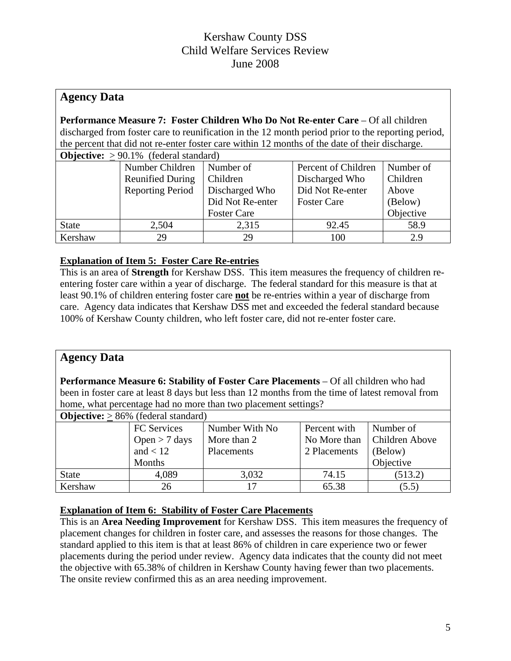## **Agency Data**

**Performance Measure 7: Foster Children Who Do Not Re-enter Care** – Of all children discharged from foster care to reunification in the 12 month period prior to the reporting period, the percent that did not re-enter foster care within 12 months of the date of their discharge.

| <b>Objective:</b> $> 90.1\%$ (federal standard) |                         |                    |                     |           |  |  |  |  |
|-------------------------------------------------|-------------------------|--------------------|---------------------|-----------|--|--|--|--|
|                                                 | Number Children         | Number of          | Percent of Children | Number of |  |  |  |  |
|                                                 | <b>Reunified During</b> | Children           | Discharged Who      | Children  |  |  |  |  |
|                                                 | <b>Reporting Period</b> | Discharged Who     | Did Not Re-enter    | Above     |  |  |  |  |
|                                                 |                         | Did Not Re-enter   | <b>Foster Care</b>  | (Below)   |  |  |  |  |
|                                                 |                         | <b>Foster Care</b> |                     | Objective |  |  |  |  |
| <b>State</b>                                    | 2,504                   | 2,315              | 92.45               | 58.9      |  |  |  |  |
| Kershaw                                         | 29                      | 29                 | 100                 | 2.9       |  |  |  |  |

### **Explanation of Item 5: Foster Care Re-entries**

This is an area of **Strength** for Kershaw DSS. This item measures the frequency of children reentering foster care within a year of discharge. The federal standard for this measure is that at least 90.1% of children entering foster care **not** be re-entries within a year of discharge from care. Agency data indicates that Kershaw DSS met and exceeded the federal standard because 100% of Kershaw County children, who left foster care, did not re-enter foster care.

## **Agency Data**

**Performance Measure 6: Stability of Foster Care Placements** – Of all children who had been in foster care at least 8 days but less than 12 months from the time of latest removal from home, what percentage had no more than two placement settings?

| <b>Objective:</b> $> 86\%$ (federal standard) |                    |                 |              |                |  |  |  |  |
|-----------------------------------------------|--------------------|-----------------|--------------|----------------|--|--|--|--|
|                                               | <b>FC</b> Services | Number With No. | Percent with | Number of      |  |  |  |  |
|                                               | Open $> 7$ days    | More than 2     | No More than | Children Above |  |  |  |  |
|                                               | and $< 12$         | Placements      | 2 Placements | (Below)        |  |  |  |  |
|                                               | Months             |                 |              | Objective      |  |  |  |  |
| <b>State</b>                                  | 4,089              | 3,032           | 74.15        | (513.2)        |  |  |  |  |
| Kershaw                                       | 26                 |                 | 65.38        | (5.5)          |  |  |  |  |

## **Explanation of Item 6: Stability of Foster Care Placements**

This is an **Area Needing Improvement** for Kershaw DSS. This item measures the frequency of placement changes for children in foster care, and assesses the reasons for those changes. The standard applied to this item is that at least 86% of children in care experience two or fewer placements during the period under review. Agency data indicates that the county did not meet the objective with 65.38% of children in Kershaw County having fewer than two placements. The onsite review confirmed this as an area needing improvement.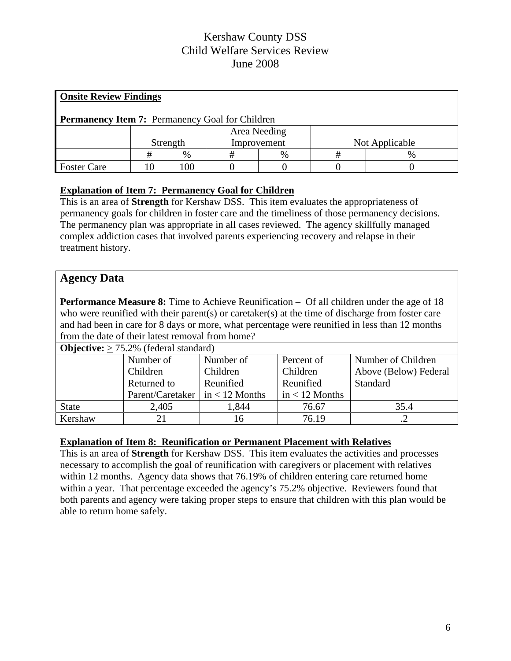| <b>Onsite Review Findings</b>                          |  |          |              |      |                |   |  |
|--------------------------------------------------------|--|----------|--------------|------|----------------|---|--|
| <b>Permanency Item 7:</b> Permanency Goal for Children |  |          |              |      |                |   |  |
|                                                        |  |          | Area Needing |      |                |   |  |
|                                                        |  | Strength | Improvement  |      | Not Applicable |   |  |
|                                                        |  | $\%$     | +            | $\%$ | #              | % |  |
| <b>Foster Care</b>                                     |  | 100      |              |      |                |   |  |

## **Explanation of Item 7: Permanency Goal for Children**

This is an area of **Strength** for Kershaw DSS. This item evaluates the appropriateness of permanency goals for children in foster care and the timeliness of those permanency decisions. The permanency plan was appropriate in all cases reviewed. The agency skillfully managed complex addiction cases that involved parents experiencing recovery and relapse in their treatment history.

## **Agency Data**

**Performance Measure 8:** Time to Achieve Reunification – Of all children under the age of 18 who were reunified with their parent(s) or caretaker(s) at the time of discharge from foster care and had been in care for 8 days or more, what percentage were reunified in less than 12 months from the date of their latest removal from home?

| <b>Objective:</b> $> 75.2\%$ (federal standard) |                                         |           |                  |                       |  |  |  |  |
|-------------------------------------------------|-----------------------------------------|-----------|------------------|-----------------------|--|--|--|--|
|                                                 | Number of                               | Number of | Percent of       | Number of Children    |  |  |  |  |
|                                                 | Children                                | Children  | Children         | Above (Below) Federal |  |  |  |  |
|                                                 | Returned to                             | Reunified | Reunified        | Standard              |  |  |  |  |
|                                                 | Parent/Caretaker $\vert$ in < 12 Months |           | $in < 12$ Months |                       |  |  |  |  |
| <b>State</b>                                    | 2,405                                   | 1,844     | 76.67            | 35.4                  |  |  |  |  |
| Kershaw                                         |                                         | 16        | 76.19            |                       |  |  |  |  |

### **Explanation of Item 8: Reunification or Permanent Placement with Relatives**

This is an area of **Strength** for Kershaw DSS. This item evaluates the activities and processes necessary to accomplish the goal of reunification with caregivers or placement with relatives within 12 months. Agency data shows that 76.19% of children entering care returned home within a year. That percentage exceeded the agency's 75.2% objective. Reviewers found that both parents and agency were taking proper steps to ensure that children with this plan would be able to return home safely.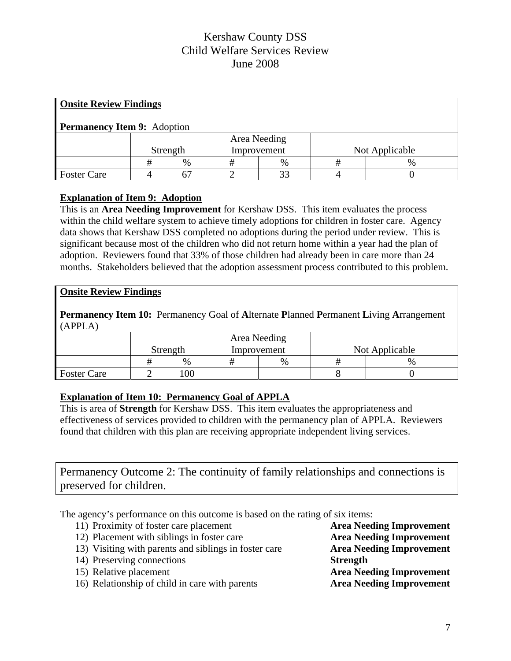| <b>Onsite Review Findings</b>      |  |          |              |             |   |                |  |
|------------------------------------|--|----------|--------------|-------------|---|----------------|--|
| <b>Permanency Item 9:</b> Adoption |  |          |              |             |   |                |  |
|                                    |  |          | Area Needing |             |   |                |  |
|                                    |  | Strength |              | Improvement |   | Not Applicable |  |
|                                    |  | $\%$     |              | %           | # | $\%$           |  |
| <b>Foster Care</b>                 |  |          |              | 33          |   |                |  |

### **Explanation of Item 9: Adoption**

This is an **Area Needing Improvement** for Kershaw DSS. This item evaluates the process within the child welfare system to achieve timely adoptions for children in foster care. Agency data shows that Kershaw DSS completed no adoptions during the period under review. This is significant because most of the children who did not return home within a year had the plan of adoption. Reviewers found that 33% of those children had already been in care more than 24 months. Stakeholders believed that the adoption assessment process contributed to this problem.

### **Onsite Review Findings**

**Permanency Item 10:** Permanency Goal of **A**lternate **P**lanned **P**ermanent **L**iving **A**rrangement (APPLA)

|                    |          |     |             | Area Needing |                |   |
|--------------------|----------|-----|-------------|--------------|----------------|---|
|                    | Strength |     | Improvement |              | Not Applicable |   |
|                    |          | %   |             | $\%$         |                | % |
| <b>Foster Care</b> |          | 100 |             |              |                |   |

### **Explanation of Item 10: Permanency Goal of APPLA**

This is area of **Strength** for Kershaw DSS. This item evaluates the appropriateness and effectiveness of services provided to children with the permanency plan of APPLA. Reviewers found that children with this plan are receiving appropriate independent living services.

Permanency Outcome 2: The continuity of family relationships and connections is preserved for children.

The agency's performance on this outcome is based on the rating of six items:

11) Proximity of foster care placement **Area Needing Improvement** 12) Placement with siblings in foster care **Area Needing Improvement** 13) Visiting with parents and siblings in foster care **Area Needing Improvement**  14) Preserving connections **Strength** 15) Relative placement **Area Needing Improvement** 16) Relationship of child in care with parents **Area Needing Improvement**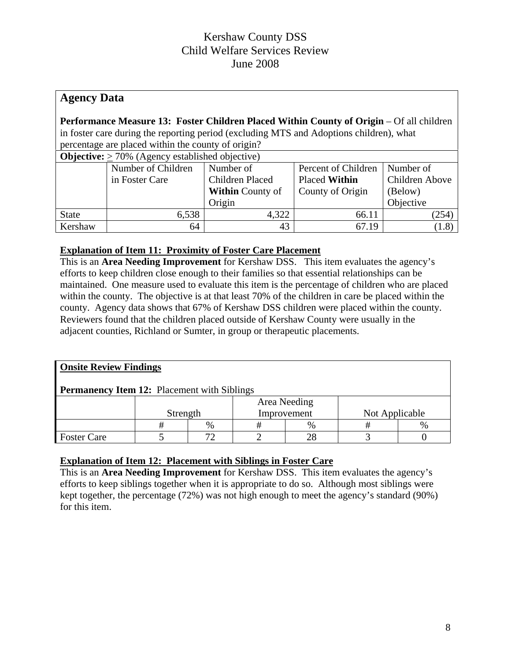# **Agency Data**

**Performance Measure 13: Foster Children Placed Within County of Origin** – Of all children in foster care during the reporting period (excluding MTS and Adoptions children), what percentage are placed within the county of origin?

| <b>Objective:</b> $\geq$ 70% (Agency established objective) |                    |                         |                                        |           |  |  |  |  |
|-------------------------------------------------------------|--------------------|-------------------------|----------------------------------------|-----------|--|--|--|--|
|                                                             | Number of Children | Number of               | Percent of Children                    | Number of |  |  |  |  |
|                                                             | in Foster Care     | Children Placed         | Children Above<br><b>Placed Within</b> |           |  |  |  |  |
|                                                             |                    | <b>Within County of</b> | County of Origin                       | (Below)   |  |  |  |  |
|                                                             |                    | Origin                  |                                        | Objective |  |  |  |  |
| <b>State</b>                                                | 6,538              | 4,322                   | 66.11                                  | (254)     |  |  |  |  |
| Kershaw                                                     | 64                 | 43                      | 67.19                                  | (1.8)     |  |  |  |  |

## **Explanation of Item 11: Proximity of Foster Care Placement**

This is an **Area Needing Improvement** for Kershaw DSS.This item evaluates the agency's efforts to keep children close enough to their families so that essential relationships can be maintained. One measure used to evaluate this item is the percentage of children who are placed within the county. The objective is at that least 70% of the children in care be placed within the county. Agency data shows that 67% of Kershaw DSS children were placed within the county. Reviewers found that the children placed outside of Kershaw County were usually in the adjacent counties, Richland or Sumter, in group or therapeutic placements.

| <b>Onsite Review Findings</b>                      |          |    |  |              |                |  |  |  |  |  |
|----------------------------------------------------|----------|----|--|--------------|----------------|--|--|--|--|--|
| <b>Permanency Item 12:</b> Placement with Siblings |          |    |  |              |                |  |  |  |  |  |
|                                                    |          |    |  | Area Needing |                |  |  |  |  |  |
|                                                    | Strength |    |  | Improvement  | Not Applicable |  |  |  |  |  |
| $\frac{0}{6}$<br>%<br>%<br>Ħ                       |          |    |  |              |                |  |  |  |  |  |
| <b>Foster Care</b>                                 |          | רי |  | 28           |                |  |  |  |  |  |

### **Explanation of Item 12: Placement with Siblings in Foster Care**

This is an **Area Needing Improvement** for Kershaw DSS. This item evaluates the agency's efforts to keep siblings together when it is appropriate to do so. Although most siblings were kept together, the percentage (72%) was not high enough to meet the agency's standard (90%) for this item.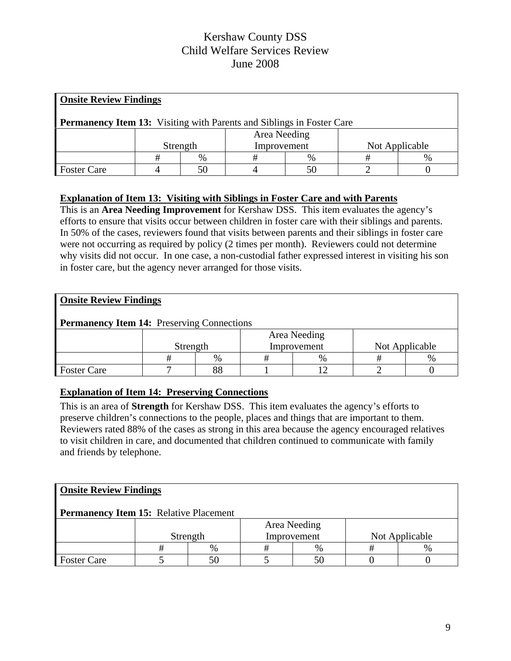| <b>Onsite Review Findings</b>                                                |                                           |  |  |  |  |  |  |  |  |
|------------------------------------------------------------------------------|-------------------------------------------|--|--|--|--|--|--|--|--|
| <b>Permanency Item 13:</b> Visiting with Parents and Siblings in Foster Care |                                           |  |  |  |  |  |  |  |  |
|                                                                              | Area Needing                              |  |  |  |  |  |  |  |  |
|                                                                              | Improvement<br>Not Applicable<br>Strength |  |  |  |  |  |  |  |  |
|                                                                              | $\%$<br>$\%$                              |  |  |  |  |  |  |  |  |
| <b>Foster Care</b>                                                           |                                           |  |  |  |  |  |  |  |  |

### **Explanation of Item 13: Visiting with Siblings in Foster Care and with Parents**

This is an **Area Needing Improvement** for Kershaw DSS. This item evaluates the agency's efforts to ensure that visits occur between children in foster care with their siblings and parents. In 50% of the cases, reviewers found that visits between parents and their siblings in foster care were not occurring as required by policy (2 times per month). Reviewers could not determine why visits did not occur. In one case, a non-custodial father expressed interest in visiting his son in foster care, but the agency never arranged for those visits.

## **Onsite Review Findings**

### **Permanency Item 14:** Preserving Connections

|                    | Strength |      | Area Needing<br>Improvement | Not Applicable |      |
|--------------------|----------|------|-----------------------------|----------------|------|
|                    |          | $\%$ | $\%$                        |                | $\%$ |
| <b>Foster Care</b> |          | 88   |                             |                |      |

### **Explanation of Item 14: Preserving Connections**

This is an area of **Strength** for Kershaw DSS.This item evaluates the agency's efforts to preserve children's connections to the people, places and things that are important to them. Reviewers rated 88% of the cases as strong in this area because the agency encouraged relatives to visit children in care, and documented that children continued to communicate with family and friends by telephone.

### **Onsite Review Findings**

### **Permanency Item 15:** Relative Placement

|                    | Strength |      | Improvement |               | Not Applicable |      |
|--------------------|----------|------|-------------|---------------|----------------|------|
|                    |          | $\%$ |             | $\frac{0}{6}$ |                | $\%$ |
| <b>Foster Care</b> |          |      |             | 50            |                |      |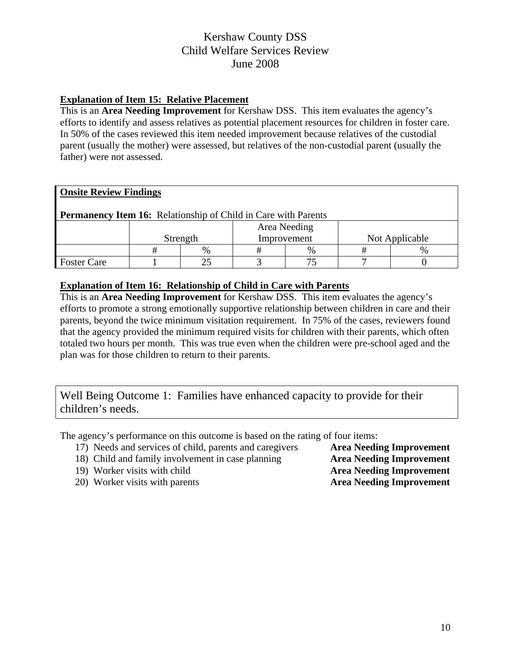### **Explanation of Item 15: Relative Placement**

This is an **Area Needing Improvement** for Kershaw DSS.This item evaluates the agency's efforts to identify and assess relatives as potential placement resources for children in foster care. In 50% of the cases reviewed this item needed improvement because relatives of the custodial parent (usually the mother) were assessed, but relatives of the non-custodial parent (usually the father) were not assessed.

|  | <b>Onsite Review Findings</b> |
|--|-------------------------------|
|  |                               |

**Permanency Item 16:** Relationship of Child in Care with Parents

|                    |   | Strength | Improvement | Not Applicable |      |
|--------------------|---|----------|-------------|----------------|------|
|                    | % |          | %           |                | $\%$ |
| <b>Foster Care</b> |   | ت        |             |                |      |

#### **Explanation of Item 16: Relationship of Child in Care with Parents**

This is an **Area Needing Improvement** for Kershaw DSS. This item evaluates the agency's efforts to promote a strong emotionally supportive relationship between children in care and their parents, beyond the twice minimum visitation requirement. In 75% of the cases, reviewers found that the agency provided the minimum required visits for children with their parents, which often totaled two hours per month. This was true even when the children were pre-school aged and the plan was for those children to return to their parents.

Well Being Outcome 1: Families have enhanced capacity to provide for their children's needs.

The agency's performance on this outcome is based on the rating of four items:

- 17) Needs and services of child, parents and caregivers **Area Needing Improvement**
- 18) Child and family involvement in case planning **Area Needing Improvement**
- 
- 20) Worker visits with parents **Area Needing Improvement**

19) Worker visits with child **Area Needing Improvement**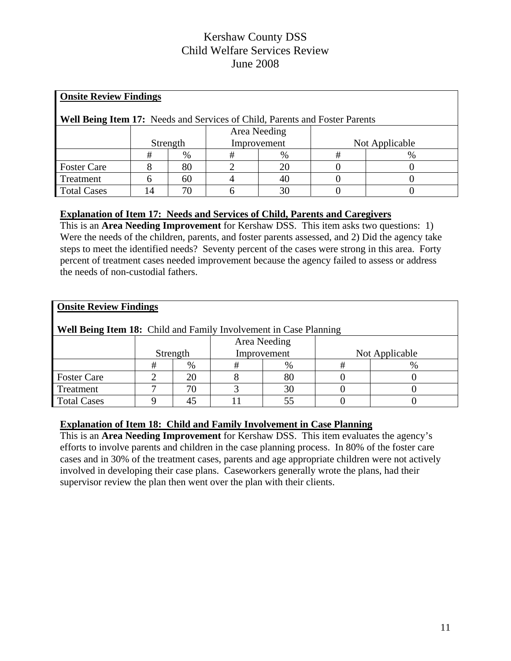| <b>Onsite Review Findings</b>                                                      |              |          |   |             |                |      |  |  |  |  |
|------------------------------------------------------------------------------------|--------------|----------|---|-------------|----------------|------|--|--|--|--|
| <b>Well Being Item 17:</b> Needs and Services of Child, Parents and Foster Parents |              |          |   |             |                |      |  |  |  |  |
|                                                                                    | Area Needing |          |   |             |                |      |  |  |  |  |
|                                                                                    |              | Strength |   | Improvement | Not Applicable |      |  |  |  |  |
|                                                                                    | #            | $\%$     | # | $\%$        | #              | $\%$ |  |  |  |  |
| <b>Foster Care</b>                                                                 |              | 80       |   | 20          |                |      |  |  |  |  |
| Treatment                                                                          |              | 60       |   | 40          |                |      |  |  |  |  |
| <b>Total Cases</b>                                                                 | 14           | 70       |   | 30          |                |      |  |  |  |  |

### **Explanation of Item 17: Needs and Services of Child, Parents and Caregivers**

This is an **Area Needing Improvement** for Kershaw DSS. This item asks two questions: 1) Were the needs of the children, parents, and foster parents assessed, and 2) Did the agency take steps to meet the identified needs? Seventy percent of the cases were strong in this area. Forty percent of treatment cases needed improvement because the agency failed to assess or address the needs of non-custodial fathers.

| <b>Onsite Review Findings</b>                                            |              |    |   |             |  |                |  |  |  |  |
|--------------------------------------------------------------------------|--------------|----|---|-------------|--|----------------|--|--|--|--|
| <b>Well Being Item 18:</b> Child and Family Involvement in Case Planning |              |    |   |             |  |                |  |  |  |  |
|                                                                          | Area Needing |    |   |             |  |                |  |  |  |  |
|                                                                          | Strength     |    |   | Improvement |  | Not Applicable |  |  |  |  |
|                                                                          | #            | %  | # | $\%$        |  | $\%$           |  |  |  |  |
| <b>Foster Care</b>                                                       | ◠            | 20 |   | 80          |  |                |  |  |  |  |
| Treatment                                                                |              | 70 |   | 30          |  |                |  |  |  |  |
| <b>Total Cases</b>                                                       |              | 45 |   | 55          |  |                |  |  |  |  |

### **Explanation of Item 18: Child and Family Involvement in Case Planning**

This is an **Area Needing Improvement** for Kershaw DSS. This item evaluates the agency's efforts to involve parents and children in the case planning process. In 80% of the foster care cases and in 30% of the treatment cases, parents and age appropriate children were not actively involved in developing their case plans. Caseworkers generally wrote the plans, had their supervisor review the plan then went over the plan with their clients.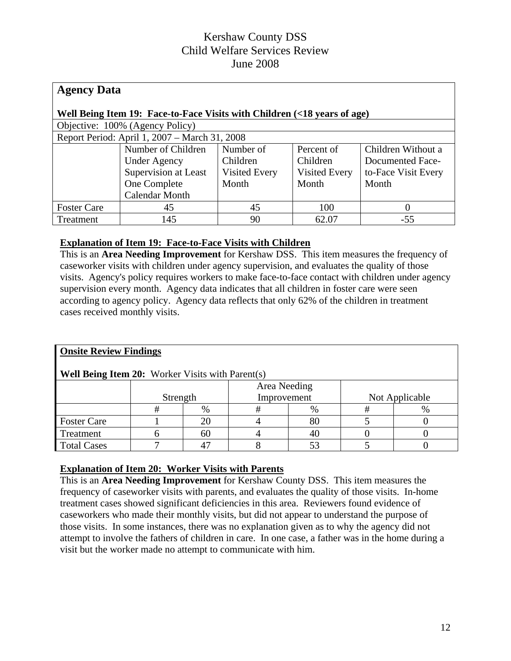| <b>Agency Data</b>                                                       |                                               |               |               |                     |  |  |  |  |  |  |
|--------------------------------------------------------------------------|-----------------------------------------------|---------------|---------------|---------------------|--|--|--|--|--|--|
| Well Being Item 19: Face-to-Face Visits with Children (<18 years of age) |                                               |               |               |                     |  |  |  |  |  |  |
|                                                                          | Objective: 100% (Agency Policy)               |               |               |                     |  |  |  |  |  |  |
|                                                                          | Report Period: April 1, 2007 – March 31, 2008 |               |               |                     |  |  |  |  |  |  |
|                                                                          | Number of Children                            | Number of     | Percent of    | Children Without a  |  |  |  |  |  |  |
|                                                                          | <b>Under Agency</b>                           | Children      | Children      | Documented Face-    |  |  |  |  |  |  |
|                                                                          | Supervision at Least                          | Visited Every | Visited Every | to-Face Visit Every |  |  |  |  |  |  |
|                                                                          | One Complete                                  | Month         | Month         | Month               |  |  |  |  |  |  |
|                                                                          | Calendar Month                                |               |               |                     |  |  |  |  |  |  |
| <b>Foster Care</b>                                                       | 45                                            | 45            | 100           |                     |  |  |  |  |  |  |
| Treatment                                                                | 145                                           | 90            | 62.07         | $-55$               |  |  |  |  |  |  |

### **Explanation of Item 19: Face-to-Face Visits with Children**

This is an **Area Needing Improvement** for Kershaw DSS. This item measures the frequency of caseworker visits with children under agency supervision, and evaluates the quality of those visits. Agency's policy requires workers to make face-to-face contact with children under agency supervision every month. Agency data indicates that all children in foster care were seen according to agency policy. Agency data reflects that only 62% of the children in treatment cases received monthly visits.

| <b>Onsite Review Findings</b>                           |          |      |             |      |   |                |  |  |  |  |
|---------------------------------------------------------|----------|------|-------------|------|---|----------------|--|--|--|--|
| <b>Well Being Item 20:</b> Worker Visits with Parent(s) |          |      |             |      |   |                |  |  |  |  |
| Area Needing                                            |          |      |             |      |   |                |  |  |  |  |
|                                                         | Strength |      | Improvement |      |   | Not Applicable |  |  |  |  |
|                                                         | #        | $\%$ | #           | $\%$ | # | $\%$           |  |  |  |  |
| <b>Foster Care</b>                                      |          | 20   |             | 80   |   |                |  |  |  |  |
| Treatment                                               | h        | 60   |             | 40   |   |                |  |  |  |  |
| <b>Total Cases</b>                                      |          | 17   |             | 53   |   |                |  |  |  |  |

## **Explanation of Item 20: Worker Visits with Parents**

This is an **Area Needing Improvement** for Kershaw County DSS. This item measures the frequency of caseworker visits with parents, and evaluates the quality of those visits. In-home treatment cases showed significant deficiencies in this area. Reviewers found evidence of caseworkers who made their monthly visits, but did not appear to understand the purpose of those visits. In some instances, there was no explanation given as to why the agency did not attempt to involve the fathers of children in care. In one case, a father was in the home during a visit but the worker made no attempt to communicate with him.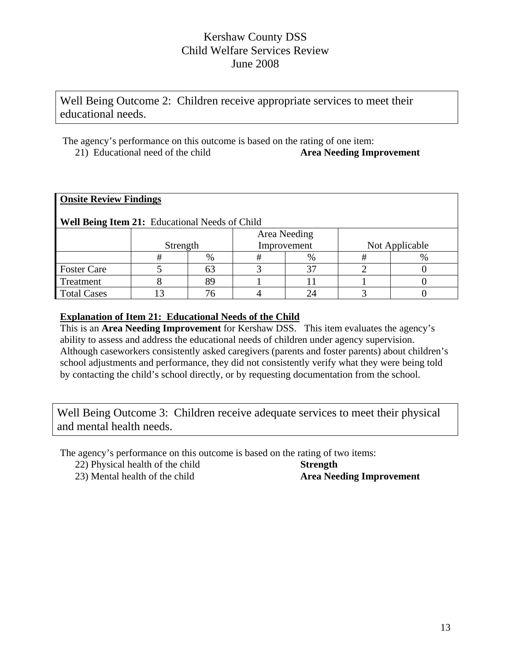Well Being Outcome 2: Children receive appropriate services to meet their educational needs.

 The agency's performance on this outcome is based on the rating of one item: 21) Educational need of the child **Area Needing Improvement** 

|  | <b>Onsite Review Findings</b> |  |
|--|-------------------------------|--|
|  |                               |  |

## **Well Being Item 21:** Educational Needs of Child

|                    | Strength |      |  | Area Needing<br>Improvement | Not Applicable |  |  |  |  |
|--------------------|----------|------|--|-----------------------------|----------------|--|--|--|--|
|                    |          | $\%$ |  | $\%$                        |                |  |  |  |  |
| <b>Foster Care</b> |          |      |  |                             |                |  |  |  |  |
| Treatment          |          |      |  |                             |                |  |  |  |  |
| <b>Total Cases</b> |          |      |  |                             |                |  |  |  |  |

### **Explanation of Item 21: Educational Needs of the Child**

This is an **Area Needing Improvement** for Kershaw DSS. This item evaluates the agency's ability to assess and address the educational needs of children under agency supervision. Although caseworkers consistently asked caregivers (parents and foster parents) about children's school adjustments and performance, they did not consistently verify what they were being told by contacting the child's school directly, or by requesting documentation from the school.

Well Being Outcome 3: Children receive adequate services to meet their physical and mental health needs.

The agency's performance on this outcome is based on the rating of two items:

22) Physical health of the child **Strength**

23) Mental health of the child **Area Needing Improvement**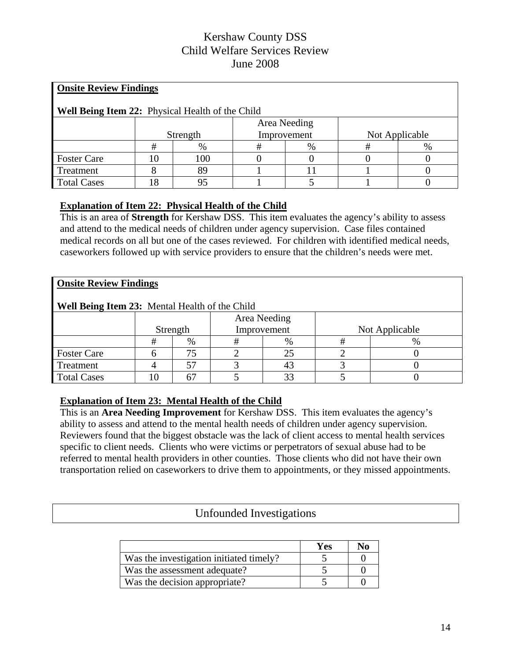| <b>Onsite Review Findings</b>                    |          |     |              |             |                |   |  |
|--------------------------------------------------|----------|-----|--------------|-------------|----------------|---|--|
| Well Being Item 22: Physical Health of the Child |          |     |              |             |                |   |  |
|                                                  |          |     | Area Needing |             |                |   |  |
|                                                  | Strength |     |              | Improvement | Not Applicable |   |  |
|                                                  | #        | %   | #            | $\%$        | #              | % |  |
| <b>Foster Care</b>                               | 10       | 100 |              |             |                |   |  |
| Treatment                                        |          | 89  |              |             |                |   |  |
| <b>Total Cases</b>                               | 8        | 95  |              |             |                |   |  |

## **Explanation of Item 22: Physical Health of the Child**

This is an area of **Strength** for Kershaw DSS.This item evaluates the agency's ability to assess and attend to the medical needs of children under agency supervision. Case files contained medical records on all but one of the cases reviewed. For children with identified medical needs, caseworkers followed up with service providers to ensure that the children's needs were met.

#### **Onsite Review Findings**

**Well Being Item 23:** Mental Health of the Child

| $\ldots$ and $\ldots$ are $\ldots$ and $\ldots$ are $\ldots$ and $\ldots$ are $\ldots$ . |          |      |              |             |                |      |  |
|------------------------------------------------------------------------------------------|----------|------|--------------|-------------|----------------|------|--|
|                                                                                          | Strength |      | Area Needing | Improvement | Not Applicable |      |  |
|                                                                                          |          |      |              |             |                |      |  |
|                                                                                          |          | $\%$ |              | $\%$        |                | $\%$ |  |
| <b>Foster Care</b>                                                                       |          |      |              |             |                |      |  |
| Treatment                                                                                |          |      |              |             |                |      |  |
| <b>Total Cases</b>                                                                       |          |      |              |             |                |      |  |

### **Explanation of Item 23: Mental Health of the Child**

This is an **Area Needing Improvement** for Kershaw DSS. This item evaluates the agency's ability to assess and attend to the mental health needs of children under agency supervision. Reviewers found that the biggest obstacle was the lack of client access to mental health services specific to client needs. Clients who were victims or perpetrators of sexual abuse had to be referred to mental health providers in other counties. Those clients who did not have their own transportation relied on caseworkers to drive them to appointments, or they missed appointments.

## Unfounded Investigations

|                                         | Yes |  |
|-----------------------------------------|-----|--|
| Was the investigation initiated timely? |     |  |
| Was the assessment adequate?            |     |  |
| Was the decision appropriate?           |     |  |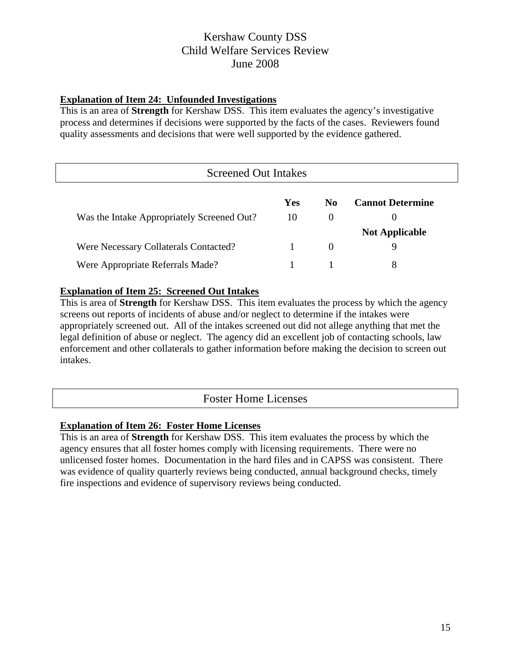### **Explanation of Item 24: Unfounded Investigations**

This is an area of **Strength** for Kershaw DSS. This item evaluates the agency's investigative process and determines if decisions were supported by the facts of the cases. Reviewers found quality assessments and decisions that were well supported by the evidence gathered.

| <b>Screened Out Intakes</b>                |     |                |                         |  |  |
|--------------------------------------------|-----|----------------|-------------------------|--|--|
|                                            | Yes | N <sub>0</sub> | <b>Cannot Determine</b> |  |  |
| Was the Intake Appropriately Screened Out? | 10  | $\Omega$       | $\theta$                |  |  |
|                                            |     |                | <b>Not Applicable</b>   |  |  |
| Were Necessary Collaterals Contacted?      |     | $\theta$       | 9                       |  |  |
| Were Appropriate Referrals Made?           |     |                | 8                       |  |  |

### **Explanation of Item 25: Screened Out Intakes**

This is area of **Strength** for Kershaw DSS. This item evaluates the process by which the agency screens out reports of incidents of abuse and/or neglect to determine if the intakes were appropriately screened out. All of the intakes screened out did not allege anything that met the legal definition of abuse or neglect. The agency did an excellent job of contacting schools, law enforcement and other collaterals to gather information before making the decision to screen out intakes.

## Foster Home Licenses

### **Explanation of Item 26: Foster Home Licenses**

This is an area of **Strength** for Kershaw DSS. This item evaluates the process by which the agency ensures that all foster homes comply with licensing requirements. There were no unlicensed foster homes. Documentation in the hard files and in CAPSS was consistent. There was evidence of quality quarterly reviews being conducted, annual background checks, timely fire inspections and evidence of supervisory reviews being conducted.